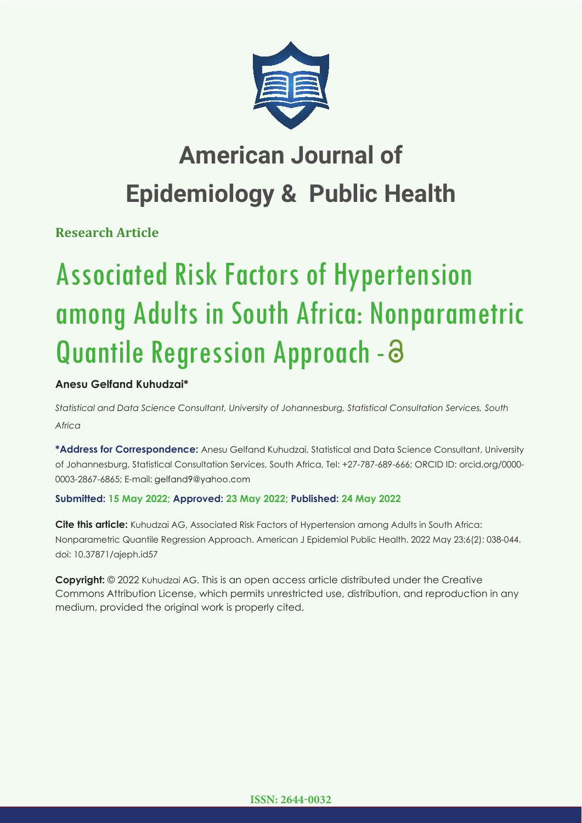

# **American Journal of Epidemiology & Public Health**

**Research Article**

# Associated Risk Factors of Hypertension among Adults in South Africa: Nonparametric Quantile Regression Approach - 3

# **Anesu Gelfand Kuhudzai\***

*Statistical and Data Science Consultant, University of Johannesburg, Statistical Consultation Services, South Africa*

**\*Address for Correspondence:** Anesu Gelfand Kuhudzai, Statistical and Data Science Consultant, University of Johannesburg, Statistical Consultation Services, South Africa, Tel: +27-787-689-666; ORCID ID: orcid.org/0000- 0003-2867-6865; E-mail: gelfand9@yahoo.com

# **Submitted: 15 May 2022; Approved: 23 May 2022; Published: 24 May 2022**

**Cite this article:** Kuhudzai AG, Associated Risk Factors of Hypertension among Adults in South Africa: Nonparametric Quantile Regression Approach. American J Epidemiol Public Health. 2022 May 23;6(2): 038-044. doi: 10.37871/ajeph.id57

**Copyright:** © 2022 Kuhudzai AG. This is an open access article distributed under the Creative Commons Attribution License, which permits unrestricted use, distribution, and reproduction in any medium, provided the original work is properly cited.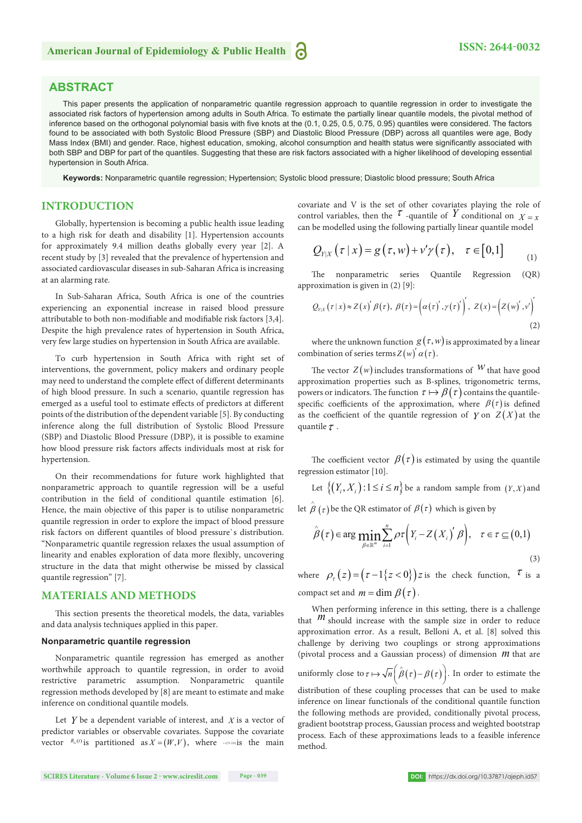# **ABSTRACT**

This paper presents the application of nonparametric quantile regression approach to quantile regression in order to investigate the associated risk factors of hypertension among adults in South Africa. To estimate the partially linear quantile models, the pivotal method of inference based on the orthogonal polynomial basis with five knots at the (0.1, 0.25, 0.5, 0.75, 0.95) quantiles were considered. The factors found to be associated with both Systolic Blood Pressure (SBP) and Diastolic Blood Pressure (DBP) across all quantiles were age, Body Mass Index (BMI) and gender. Race, highest education, smoking, alcohol consumption and health status were significantly associated with both SBP and DBP for part of the quantiles. Suggesting that these are risk factors associated with a higher likelihood of developing essential hypertension in South Africa.

**Keywords:** Nonparametric quantile regression; Hypertension; Systolic blood pressure; Diastolic blood pressure; South Africa

## **INTRODUCTION**

Globally, hypertension is becoming a public health issue leading to a high risk for death and disability [1]. Hypertension accounts for approximately 9.4 million deaths globally every year [2]. A recent study by [3] revealed that the prevalence of hypertension and associated cardiovascular diseases in sub-Saharan Africa is increasing at an alarming rate.

In Sub-Saharan Africa, South Africa is one of the countries experiencing an exponential increase in raised blood pressure attributable to both non-modifiable and modifiable risk factors [3,4]. Despite the high prevalence rates of hypertension in South Africa, very few large studies on hypertension in South Africa are available.

To curb hypertension in South Africa with right set of interventions, the government, policy makers and ordinary people may need to understand the complete effect of different determinants of high blood pressure. In such a scenario, quantile regression has emerged as a useful tool to estimate effects of predictors at different points of the distribution of the dependent variable [5]. By conducting inference along the full distribution of Systolic Blood Pressure (SBP) and Diastolic Blood Pressure (DBP), it is possible to examine how blood pressure risk factors affects individuals most at risk for hypertension.

On their recommendations for future work highlighted that nonparametric approach to quantile regression will be a useful contribution in the field of conditional quantile estimation [6]. Hence, the main objective of this paper is to utilise nonparametric quantile regression in order to explore the impact of blood pressure risk factors on different quantiles of blood pressure's distribution. "Nonparametric quantile regression relaxes the usual assumption of linearity and enables exploration of data more flexibly, uncovering structure in the data that might otherwise be missed by classical quantile regression" [7].

# **MATERIALS AND METHODS**

This section presents the theoretical models, the data, variables and data analysis techniques applied in this paper.

#### **Nonparametric quantile regression**

Nonparametric quantile regression has emerged as another worthwhile approach to quantile regression, in order to avoid restrictive parametric assumption. Nonparametric quantile regression methods developed by [8] are meant to estimate and make inference on conditional quantile models.

Let *Y* be a dependent variable of interest, and *X* is a vector of predictor variables or observable covariates. Suppose the covariate vector  $R_G(t)$  is partitioned as  $X = (W, V)$ , where *tepsizin*is the main covariate and V is the set of other covariates playing the role of control variables, then the  $\tau$ -quantile of Y conditional on  $X=x$ can be modelled using the following partially linear quantile model

$$
Q_{Y|X}(\tau | x) = g(\tau, w) + v'\gamma(\tau), \quad \tau \in [0,1]
$$
 (1)

The nonparametric series Quantile Regression (OR) approximation is given in (2) [9]:

$$
Q_{\gamma|x}(\tau|x) \approx Z(x)'\beta(\tau), \ \beta(\tau) = \left(\alpha(\tau)',\gamma(\tau)'\right)', \ Z(x) = \left(Z(w)',v'\right)'
$$
\n(2)

where the unknown function  $g(\tau, w)$  is approximated by a linear combination of series terms  $Z(w) \alpha(\tau)$ .

The vector  $Z(w)$  includes transformations of W that have good approximation properties such as B-splines, trigonometric terms, powers or indicators. The function  $\tau \mapsto \beta(\tau)$  contains the quantilespecific coefficients of the approximation, where  $\beta(\tau)$  is defined as the coefficient of the quantile regression of *Y* on  $Z(X)$  at the quantile  $\tau$ .

The coefficient vector  $\beta(\tau)$  is estimated by using the quantile regression estimator [10].

Let  $\{(Y_i, X_i): 1 \le i \le n\}$  be a random sample from  $(Y, X)$  and

let  $\stackrel{\wedge}{\beta}(\tau)$  be the QR estimator of  $\beta(\tau)$  which is given by

$$
\hat{\beta}(\tau) \in \arg\min_{\beta \in \mathbb{R}^m} \sum_{i=1}^n \rho \tau \Big( Y_i - Z(X_i)' \beta \Big), \quad \tau \in \tau \subseteq (0,1)
$$
\n(3)

where  $\rho_{\tau}(z) = (\tau - 1\{z < 0\}) z$  is the check function,  $\tau$  is a compact set and  $m = \dim \beta(\tau)$ .

When performing inference in this setting, there is a challenge that  $m$  should increase with the sample size in order to reduce approximation error. As a result, Belloni A, et al. [8] solved this challenge by deriving two couplings or strong approximations (pivotal process and a Gaussian process) of dimension *m* that are uniformly close to  $\tau \mapsto \sqrt{n} \left( \hat{\beta}(\tau) - \beta(\tau) \right)$ . In order to estimate the

distribution of these coupling processes that can be used to make inference on linear functionals of the conditional quantile function the following methods are provided, conditionally pivotal process, gradient bootstrap process, Gaussian process and weighted bootstrap process. Each of these approximations leads to a feasible inference method.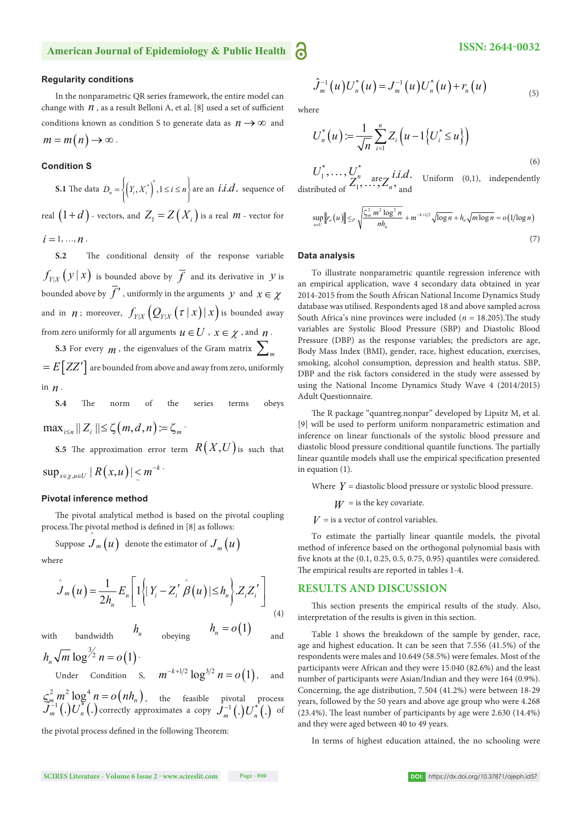# **American Journal of Epidemiology & Public Health**

### **Regularity conditions**

In the nonparametric QR series framework, the entire model can change with  $n$ , as a result Belloni A, et al. [8] used a set of sufficient conditions known as condition S to generate data as  $n \rightarrow \infty$  and  $m = m(n) \rightarrow \infty$ .

## **Condition S**

**S.1** The data  $D_n = \left\{ \left( Y_i, X'_i \right)' , 1 \le i \le n \right\}$  are an *i.i.d.* sequence of real  $(1+d)$  - vectors, and  $Z_1 = Z(X_i)$  is a real *m* - vector for  $i = 1, ..., n$ .

**S.2** The conditional density of the response variable  $f_{Y|X}(y|x)$  is bounded above by  $\overline{f}$  and its derivative in *y* is bounded above by  $\overline{f}'$ , uniformly in the arguments *y* and  $x \in \gamma$ and in *n*; moreover,  $f_{Y|X}(Q_{Y|X}(\tau | x)| x)$  is bounded away from zero uniformly for all arguments  $u \in U$  ,  $x \in \chi$  , and  $n$ .

**S.3** For every  $m$ , the eigenvalues of the Gram matrix  $\sum_{m}$  $E\left[ZZ^{\prime}\right]$  are bounded from above and away from zero, uniformly in *n* .

**S.4** The norm of the series terms obeys  $\max_{i \le n} || Z_i || \le \zeta(m, d, n) := \zeta_m$ 

**S.5** The approximation error term  $R(X, U)$  is such that

$$
\sup\nolimits_{x\in \chi, u\in U}|R(x,u)| \leq m^{-k}\cdot
$$

#### **Pivotal inference method**

The pivotal analytical method is based on the pivotal coupling process. The pivotal method is defined in [8] as follows:

Suppose 
$$
\hat{J}_m(u)
$$
 denote the estimator of  $J_m(u)$ 

where

$$
\hat{J}_m(u) = \frac{1}{2h_n} E_n \left[ 1 \left\{ |Y_i - Z'_i \stackrel{\wedge}{\beta}(u) | \leq h_n \right\} . Z_i Z'_i \right]
$$
\n(4)

with bandwidth  $h_n$  obeying  $h_n = o(1)$  and

$$
h_n \sqrt{m} \log^{3/2} n = o(1)
$$
  
Under Condition S,  $m^{-k+1/2} \log^{3/2} n = o(1)$ , and

$$
\mathcal{G}_m^2 m^2 \log^4 n = o\left(nh_n\right),
$$
 the feasible pivotal process  

$$
\mathcal{J}_m^{-1}\left(.\right)U_n^*\left(.\right)
$$
 correctly approximates a copy 
$$
\mathcal{J}_m^{-1}\left(.\right)U_n^*\left(.\right)
$$
 of

the pivotal process defined in the following Theorem:

$$
\hat{J}_m^{-1}(u)U_n^*(u) = J_m^{-1}(u)U_n^*(u) + r_n(u)
$$
\n(5)

where

$$
U_n^*(u) := \frac{1}{\sqrt{n}} \sum_{i=1}^n Z_i \left( u - 1 \{ U_i^* \le u \} \right)
$$
\n
$$
U_i^* = U_i^* \tag{6}
$$

 $U_1^*, \ldots, U_{\mathbf{Z}^n}^*$  are  $\mathbf{Z}^i$  *ii.d.* Uniform (0,1), independently distributed of  $Z_1^n, \ldots, Z_n^n$ , and

$$
\sup_{u \in U} \|r_n(u)\| \leq P \sqrt{\frac{\zeta_m^2 m^2 \log^2 n}{nh_n}} + m^{-k+1/2} \sqrt{\log n} + h_n \sqrt{m \log n} = o(1/\log n)
$$
\n(7)

#### **Data analysis**

To illustrate nonparametric quantile regression inference with an empirical application, wave 4 secondary data obtained in year 2014-2015 from the South African National Income Dynamics Study database was utilised. Respondents aged 18 and above sampled across South Africa's nine provinces were included ( $n = 18.205$ ). The study variables are Systolic Blood Pressure (SBP) and Diastolic Blood Pressure (DBP) as the response variables; the predictors are age, Body Mass Index (BMI), gender, race, highest education, exercises, smoking, alcohol consumption, depression and health status. SBP, DBP and the risk factors considered in the study were assessed by using the National Income Dynamics Study Wave 4 (2014/2015) Adult Questionnaire.

The R package "quantreg.nonpar" developed by Lipsitz M, et al. [9] will be used to perform uniform nonparametric estimation and inference on linear functionals of the systolic blood pressure and diastolic blood pressure conditional quantile functions. The partially linear quantile models shall use the empirical specification presented in equation (1).

Where  $Y =$  diastolic blood pressure or systolic blood pressure.

 $W =$  is the key covariate.

 $V =$  is a vector of control variables.

To estimate the partially linear quantile models, the pivotal method of inference based on the orthogonal polynomial basis with five knots at the  $(0.1, 0.25, 0.5, 0.75, 0.95)$  quantiles were considered. The empirical results are reported in tables 1-4.

#### **RESULTS AND DISCUSSION**

This section presents the empirical results of the study. Also, interpretation of the results is given in this section.

Table 1 shows the breakdown of the sample by gender, race, age and highest education. It can be seen that 7.556 (41.5%) of the respondents were males and 10.649 (58.5%) were females. Most of the participants were African and they were 15.040 (82.6%) and the least number of participants were Asian/Indian and they were 164 (0.9%). Concerning, the age distribution, 7.504 (41.2%) were between 18-29 years, followed by the 50 years and above age group who were 4.268  $(23.4\%)$ . The least number of participants by age were  $2.630$   $(14.4\%)$ and they were aged between 40 to 49 years.

In terms of highest education attained, the no schooling were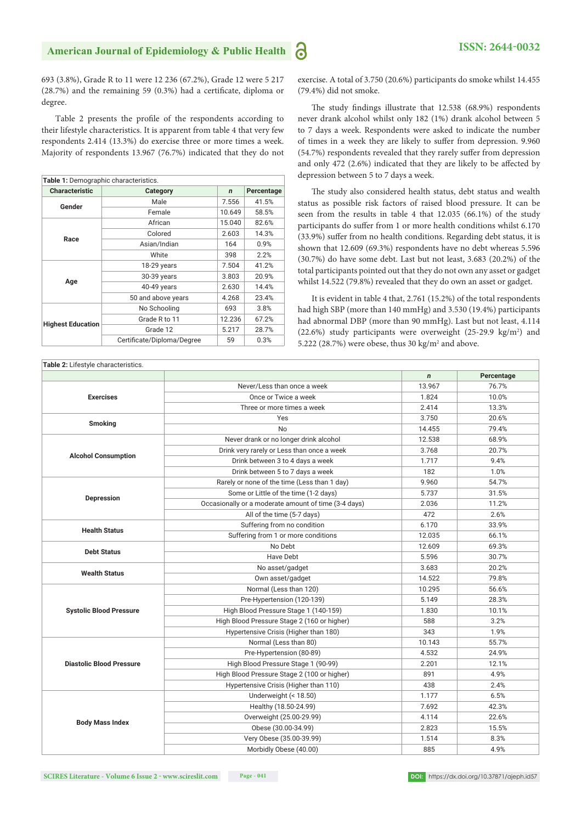693 (3.8%), Grade R to 11 were 12 236 (67.2%), Grade 12 were 5 217  $(28.7%)$  and the remaining 59  $(0.3%)$  had a certificate, diploma or degree.

Table 2 presents the profile of the respondents according to their lifestyle characteristics. It is apparent from table 4 that very few respondents 2.414 (13.3%) do exercise three or more times a week. Majority of respondents 13.967 (76.7%) indicated that they do not

| Table 1: Demographic characteristics. |                            |              |            |  |
|---------------------------------------|----------------------------|--------------|------------|--|
| <b>Characteristic</b>                 | Category                   | $\mathsf{n}$ | Percentage |  |
| Gender                                | Male                       | 7.556        | 41.5%      |  |
|                                       | Female                     | 10.649       | 58.5%      |  |
| Race                                  | African                    | 15.040       | 82.6%      |  |
|                                       | Colored                    | 2.603        | 14.3%      |  |
|                                       | Asian/Indian               | 164          | 0.9%       |  |
|                                       | White                      | 398          | 2.2%       |  |
|                                       | 18-29 years                | 7.504        | 41.2%      |  |
|                                       | 30-39 years                | 3.803        | 20.9%      |  |
| Age                                   | 40-49 years                | 2.630        | 14.4%      |  |
|                                       | 50 and above years         | 4.268        | 23.4%      |  |
| <b>Highest Education</b>              | No Schooling               | 693          | 3.8%       |  |
|                                       | Grade R to 11              | 12.236       | 67.2%      |  |
|                                       | Grade 12                   | 5.217        | 28.7%      |  |
|                                       | Certificate/Diploma/Degree | 59           | 0.3%       |  |

exercise. A total of 3.750 (20.6%) participants do smoke whilst 14.455 (79.4%) did not smoke.

The study findings illustrate that 12.538 (68.9%) respondents never drank alcohol whilst only 182 (1%) drank alcohol between 5 to 7 days a week. Respondents were asked to indicate the number of times in a week they are likely to suffer from depression. 9.960 (54.7%) respondents revealed that they rarely suffer from depression and only 472 (2.6%) indicated that they are likely to be affected by depression between 5 to 7 days a week.

The study also considered health status, debt status and wealth status as possible risk factors of raised blood pressure. It can be seen from the results in table 4 that 12.035 (66.1%) of the study participants do suffer from 1 or more health conditions whilst 6.170 (33.9%) suffer from no health conditions. Regarding debt status, it is shown that 12.609 (69.3%) respondents have no debt whereas 5.596 (30.7%) do have some debt. Last but not least, 3.683 (20.2%) of the total participants pointed out that they do not own any asset or gadget whilst 14.522 (79.8%) revealed that they do own an asset or gadget.

It is evident in table 4 that, 2.761 (15.2%) of the total respondents had high SBP (more than 140 mmHg) and 3.530 (19.4%) participants had abnormal DBP (more than 90 mmHg). Last but not least, 4.114 (22.6%) study participants were overweight (25-29.9  $\text{kg/m}^2$ ) and 5.222 (28.7%) were obese, thus 30  $\text{kg/m}^2$  and above.

|                                 |                                                      | $\mathbf n$ | Percentage |
|---------------------------------|------------------------------------------------------|-------------|------------|
|                                 | Never/Less than once a week                          | 13.967      | 76.7%      |
| <b>Exercises</b>                | Once or Twice a week                                 | 1.824       | 10.0%      |
|                                 | Three or more times a week                           | 2.414       | 13.3%      |
|                                 | Yes                                                  | 3.750       | 20.6%      |
| <b>Smoking</b>                  | <b>No</b>                                            | 14.455      | 79.4%      |
|                                 | Never drank or no longer drink alcohol               | 12.538      | 68.9%      |
|                                 | Drink very rarely or Less than once a week           | 3.768       | 20.7%      |
| <b>Alcohol Consumption</b>      | Drink between 3 to 4 days a week                     | 1.717       | 9.4%       |
|                                 | Drink between 5 to 7 days a week                     | 182         | 1.0%       |
|                                 | Rarely or none of the time (Less than 1 day)         | 9.960       | 54.7%      |
|                                 | Some or Little of the time (1-2 days)                | 5.737       | 31.5%      |
| <b>Depression</b>               | Occasionally or a moderate amount of time (3-4 days) | 2.036       | 11.2%      |
|                                 | All of the time (5-7 days)                           | 472         | 2.6%       |
| <b>Health Status</b>            | Suffering from no condition                          | 6.170       | 33.9%      |
|                                 | Suffering from 1 or more conditions                  | 12.035      | 66.1%      |
| <b>Debt Status</b>              | No Debt                                              | 12.609      | 69.3%      |
|                                 | Have Debt                                            | 5.596       | 30.7%      |
| <b>Wealth Status</b>            | No asset/gadget                                      | 3.683       | 20.2%      |
|                                 | Own asset/gadget                                     | 14.522      | 79.8%      |
|                                 | Normal (Less than 120)                               | 10.295      | 56.6%      |
|                                 | Pre-Hypertension (120-139)                           | 5.149       | 28.3%      |
| <b>Systolic Blood Pressure</b>  | High Blood Pressure Stage 1 (140-159)                | 1.830       | 10.1%      |
|                                 | High Blood Pressure Stage 2 (160 or higher)          | 588         | 3.2%       |
|                                 | Hypertensive Crisis (Higher than 180)                | 343         | 1.9%       |
|                                 | Normal (Less than 80)                                | 10.143      | 55.7%      |
|                                 | Pre-Hypertension (80-89)                             | 4.532       | 24.9%      |
| <b>Diastolic Blood Pressure</b> | High Blood Pressure Stage 1 (90-99)                  | 2.201       | 12.1%      |
|                                 | High Blood Pressure Stage 2 (100 or higher)          | 891         | 4.9%       |
|                                 | Hypertensive Crisis (Higher than 110)                | 438         | 2.4%       |
|                                 | Underweight (< 18.50)                                | 1.177       | 6.5%       |
| <b>Body Mass Index</b>          | Healthy (18.50-24.99)                                | 7.692       | 42.3%      |
|                                 | Overweight (25.00-29.99)                             | 4.114       | 22.6%      |
|                                 | Obese (30.00-34.99)                                  | 2.823       | 15.5%      |
|                                 | Very Obese (35.00-39.99)                             | 1.514       | 8.3%       |
|                                 | Morbidly Obese (40.00)                               | 885         | 4.9%       |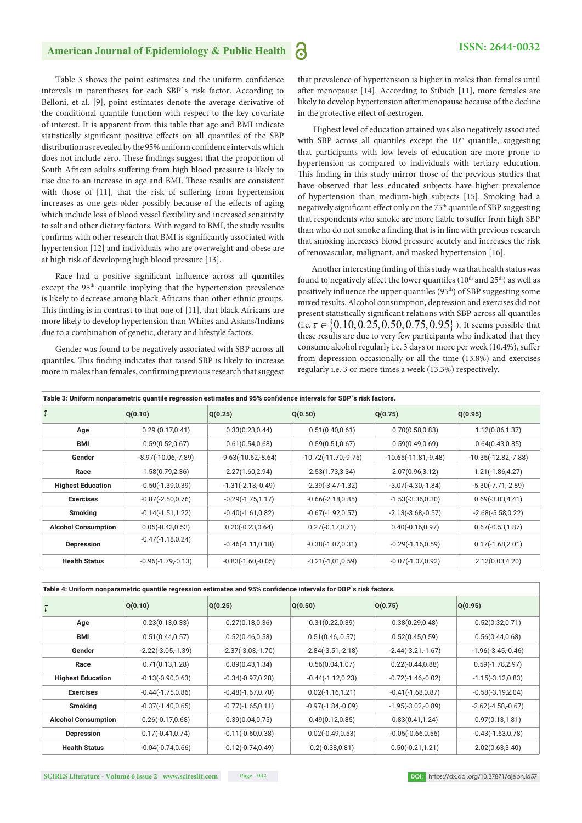# American Journal of Epidemiology & Public Health **3 ISSN: 2644-0032**

Table 3 shows the point estimates and the uniform confidence intervals in parentheses for each SBP`s risk factor. According to Belloni, et al. [9], point estimates denote the average derivative of the conditional quantile function with respect to the key covariate of interest. It is apparent from this table that age and BMI indicate statistically significant positive effects on all quantiles of the SBP distribution as revealed by the 95% uniform confidence intervals which does not include zero. These findings suggest that the proportion of South African adults suffering from high blood pressure is likely to rise due to an increase in age and BMI. These results are consistent with those of  $[11]$ , that the risk of suffering from hypertension increases as one gets older possibly because of the effects of aging which include loss of blood vessel flexibility and increased sensitivity to salt and other dietary factors. With regard to BMI, the study results confirms with other research that BMI is significantly associated with hypertension [12] and individuals who are overweight and obese are at high risk of developing high blood pressure [13].

Race had a positive significant influence across all quantiles except the 95<sup>th</sup> quantile implying that the hypertension prevalence is likely to decrease among black Africans than other ethnic groups. This finding is in contrast to that one of  $[11]$ , that black Africans are more likely to develop hypertension than Whites and Asians/Indians due to a combination of genetic, dietary and lifestyle factors.

Gender was found to be negatively associated with SBP across all quantiles. This finding indicates that raised SBP is likely to increase more in males than females, confirming previous research that suggest

that prevalence of hypertension is higher in males than females until after menopause [14]. According to Stibich [11], more females are likely to develop hypertension after menopause because of the decline in the protective effect of oestrogen.

 Highest level of education attained was also negatively associated with SBP across all quantiles except the 10<sup>th</sup> quantile, suggesting that participants with low levels of education are more prone to hypertension as compared to individuals with tertiary education. This finding in this study mirror those of the previous studies that have observed that less educated subjects have higher prevalence of hypertension than medium-high subjects [15]. Smoking had a negatively significant effect only on the 75<sup>th</sup> quantile of SBP suggesting that respondents who smoke are more liable to suffer from high SBP than who do not smoke a finding that is in line with previous research that smoking increases blood pressure acutely and increases the risk of renovascular, malignant, and masked hypertension [16].

Another interesting finding of this study was that health status was found to negatively affect the lower quantiles ( $10<sup>th</sup>$  and  $25<sup>th</sup>$ ) as well as positively influence the upper quantiles (95<sup>th</sup>) of SBP suggesting some mixed results. Alcohol consumption, depression and exercises did not present statistically significant relations with SBP across all quantiles (i.e.  $\tau \in \{0.10, 0.25, 0.50, 0.75, 0.95\}$ ). It seems possible that these results are due to very few participants who indicated that they consume alcohol regularly i.e. 3 days or more per week (10.4%), suffer from depression occasionally or all the time (13.8%) and exercises regularly i.e. 3 or more times a week (13.3%) respectively.

| Table 3: Uniform nonparametric quantile regression estimates and 95% confidence intervals for SBP`s risk factors. |                       |                       |                        |                        |                        |
|-------------------------------------------------------------------------------------------------------------------|-----------------------|-----------------------|------------------------|------------------------|------------------------|
|                                                                                                                   | Q(0.10)               | Q(0.25)               | Q(0.50)                | Q(0.75)                | Q(0.95)                |
| Age                                                                                                               | 0.29(0.17,0.41)       | 0.33(0.23, 0.44)      | 0.51(0.40, 0.61)       | 0.70(0.58, 0.83)       | 1.12(0.86, 1.37)       |
| <b>BMI</b>                                                                                                        | 0.59(0.52, 0.67)      | 0.61(0.54, 0.68)      | 0.59(0.51, 0.67)       | 0.59(0.49, 0.69)       | 0.64(0.43, 0.85)       |
| Gender                                                                                                            | $-8.97(-10.06,-7.89)$ | $-9.63(-10.62,-8.64)$ | $-10.72(-11.70,-9.75)$ | $-10.65(-11.81,-9.48)$ | $-10.35(-12.82,-7.88)$ |
| Race                                                                                                              | 1.58(0.79, 2.36)      | 2.27(1.60, 2.94)      | 2.53(1.73, 3.34)       | 2.07(0.96, 3.12)       | $1.21(-1.86, 4.27)$    |
| <b>Highest Education</b>                                                                                          | $-0.50(-1.39, 0.39)$  | $-1.31(-2.13,-0.49)$  | $-2.39(-3.47-1.32)$    | $-3.07(-4.30,-1.84)$   | $-5.30(-7.71,-2.89)$   |
| <b>Exercises</b>                                                                                                  | $-0.87(-2.50, 0.76)$  | $-0.29(-1.75, 1.17)$  | $-0.66(-2.18, 0.85)$   | $-1.53(-3.36, 0.30)$   | $0.69(-3.03, 4.41)$    |
| <b>Smoking</b>                                                                                                    | $-0.14(-1.51, 1.22)$  | $-0.40(-1.61, 0.82)$  | $-0.67(-1.92, 0.57)$   | $-2.13(-3.68,-0.57)$   | $-2.68(-5.58, 0.22)$   |
| <b>Alcohol Consumption</b>                                                                                        | $0.05(-0.43, 0.53)$   | $0.20(-0.23, 0.64)$   | $0.27(-0.17,0.71)$     | $0.40(-0.16, 0.97)$    | $0.67(-0.53, 1.87)$    |
| <b>Depression</b>                                                                                                 | $-0.47(-1.18, 0.24)$  | $-0.46(-1.11, 0.18)$  | $-0.38(-1.07, 0.31)$   | $-0.29(-1.16, 0.59)$   | $0.17(-1.68, 2.01)$    |
| <b>Health Status</b>                                                                                              | $-0.96(-1.79,-0.13)$  | $-0.83(-1.60,-0.05)$  | $-0.21(-1,01,0.59)$    | $-0.07(-1.07, 0.92)$   | 2.12(0.03, 4.20)       |

| Table 4: Uniform nonparametric quantile regression estimates and 95% confidence intervals for DBP's risk factors. |                      |                      |                      |                      |                      |
|-------------------------------------------------------------------------------------------------------------------|----------------------|----------------------|----------------------|----------------------|----------------------|
|                                                                                                                   | Q(0.10)              | Q(0.25)              | Q(0.50)              | Q(0.75)              | Q(0.95)              |
| Age                                                                                                               | 0.23(0.13, 0.33)     | 0.27(0.18, 0.36)     | 0.31(0.22, 0.39)     | 0.38(0.29, 0.48)     | 0.52(0.32, 0.71)     |
| BMI                                                                                                               | 0.51(0.44, 0.57)     | 0.52(0.46, 0.58)     | 0.51(0.46, 0.57)     | 0.52(0.45, 0.59)     | 0.56(0.44, 0.68)     |
| Gender                                                                                                            | $-2.22(-3.05,-1.39)$ | $-2.37(-3.03,-1.70)$ | $-2.84(-3.51,-2.18)$ | $-2.44(-3.21,-1.67)$ | $-1.96(-3.45,-0.46)$ |
| Race                                                                                                              | 0.71(0.13, 1.28)     | 0.89(0.43, 1.34)     | 0.56(0.04, 1.07)     | $0.22(-0.44, 0.88)$  | $0.59(-1.78, 2.97)$  |
| <b>Highest Education</b>                                                                                          | $-0.13(-0.90, 0.63)$ | $-0.34(-0.97, 0.28)$ | $-0.44(-1.12,0.23)$  | $-0.72(-1.46,-0.02)$ | $-1.15(-3.12, 0.83)$ |
| <b>Exercises</b>                                                                                                  | $-0.44(-1.75, 0.86)$ | $-0.48(-1.67, 0.70)$ | $0.02(-1.16, 1.21)$  | $-0.41(-1.68, 0.87)$ | $-0.58(-3.19, 2.04)$ |
| <b>Smoking</b>                                                                                                    | $-0.37(-1.40, 0.65)$ | $-0.77(-1.65, 0.11)$ | $-0.97(-1.84,-0.09)$ | $-1.95(-3.02,-0.89)$ | $-2.62(-4.58,-0.67)$ |
| <b>Alcohol Consumption</b>                                                                                        | $0.26(-0.17,0.68)$   | 0.39(0.04, 0.75)     | 0.49(0.12, 0.85)     | 0.83(0.41, 1.24)     | 0.97(0.13, 1.81)     |
| Depression                                                                                                        | $0.17(-0.41, 0.74)$  | $-0.11(-0.60, 0.38)$ | $0.02(-0.49, 0.53)$  | $-0.05(-0.66, 0.56)$ | $-0.43(-1.63, 0.78)$ |
| <b>Health Status</b>                                                                                              | $-0.04(-0.74, 0.66)$ | $-0.12(-0.74, 0.49)$ | $0.2(-0.38, 0.81)$   | $0.50(-0.21, 1.21)$  | 2.02(0.63,3.40)      |

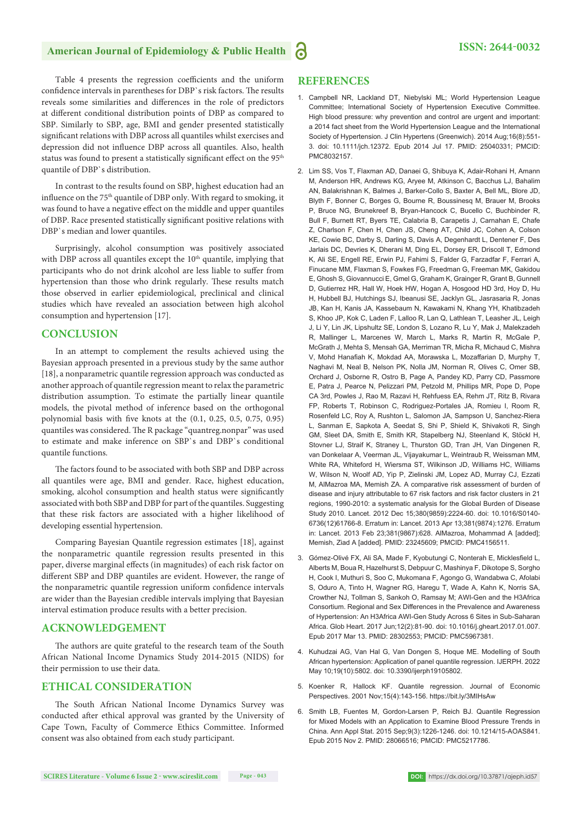# American Journal of Epidemiology & Public Health **3 ISSN: 2644-0032**

Table 4 presents the regression coefficients and the uniform confidence intervals in parentheses for DBP`s risk factors. The results reveals some similarities and differences in the role of predictors at different conditional distribution points of DBP as compared to SBP. Similarly to SBP, age, BMI and gender presented statistically significant relations with DBP across all quantiles whilst exercises and depression did not influence DBP across all quantiles. Also, health status was found to present a statistically significant effect on the 95<sup>th</sup> quantile of DBP`s distribution.

In contrast to the results found on SBP, highest education had an influence on the 75<sup>th</sup> quantile of DBP only. With regard to smoking, it was found to have a negative effect on the middle and upper quantiles of DBP. Race presented statistically significant positive relations with DBP`s median and lower quantiles.

Surprisingly, alcohol consumption was positively associated with DBP across all quantiles except the  $10<sup>th</sup>$  quantile, implying that participants who do not drink alcohol are less liable to suffer from hypertension than those who drink regularly. These results match those observed in earlier epidemiological, preclinical and clinical studies which have revealed an association between high alcohol consumption and hypertension [17].

## **CONCLUSION**

In an attempt to complement the results achieved using the Bayesian approach presented in a previous study by the same author [18], a nonparametric quantile regression approach was conducted as another approach of quantile regression meant to relax the parametric distribution assumption. To estimate the partially linear quantile models, the pivotal method of inference based on the orthogonal polynomial basis with five knots at the  $(0.1, 0.25, 0.5, 0.75, 0.95)$ quantiles was considered. The R package "quantreg.nonpar" was used to estimate and make inference on SBP`s and DBP`s conditional quantile functions.

The factors found to be associated with both SBP and DBP across all quantiles were age, BMI and gender. Race, highest education, smoking, alcohol consumption and health status were significantly associated with both SBP and DBP for part of the quantiles. Suggesting that these risk factors are associated with a higher likelihood of developing essential hypertension.

Comparing Bayesian Quantile regression estimates [18], against the nonparametric quantile regression results presented in this paper, diverse marginal effects (in magnitudes) of each risk factor on different SBP and DBP quantiles are evident. However, the range of the nonparametric quantile regression uniform confidence intervals are wider than the Bayesian credible intervals implying that Bayesian interval estimation produce results with a better precision.

# **ACKNOWLEDGEMENT**

The authors are quite grateful to the research team of the South African National Income Dynamics Study 2014-2015 (NIDS) for their permission to use their data.

# **ETHICAL CONSIDERATION**

The South African National Income Dynamics Survey was conducted after ethical approval was granted by the University of Cape Town, Faculty of Commerce Ethics Committee. Informed consent was also obtained from each study participant.

# **REFERENCES**

- 1. Campbell NR, Lackland DT, Niebylski ML; World Hypertension League Committee; International Society of Hypertension Executive Committee. High blood pressure: why prevention and control are urgent and important: a 2014 fact sheet from the World Hypertension League and the International Society of Hypertension. J Clin Hypertens (Greenwich). 2014 Aug;16(8):551- 3. doi: 10.1111/jch.12372. Epub 2014 Jul 17. PMID: 25040331; PMCID: PMC8032157.
- 2. Lim SS, Vos T, Flaxman AD, Danaei G, Shibuya K, Adair-Rohani H, Amann M, Anderson HR, Andrews KG, Aryee M, Atkinson C, Bacchus LJ, Bahalim AN, Balakrishnan K, Balmes J, Barker-Collo S, Baxter A, Bell ML, Blore JD, Blyth F, Bonner C, Borges G, Bourne R, Boussinesq M, Brauer M, Brooks P, Bruce NG, Brunekreef B, Bryan-Hancock C, Bucello C, Buchbinder R, Bull F, Burnett RT, Byers TE, Calabria B, Carapetis J, Carnahan E, Chafe Z, Charlson F, Chen H, Chen JS, Cheng AT, Child JC, Cohen A, Colson KE, Cowie BC, Darby S, Darling S, Davis A, Degenhardt L, Dentener F, Des Jarlais DC, Devries K, Dherani M, Ding EL, Dorsey ER, Driscoll T, Edmond K, Ali SE, Engell RE, Erwin PJ, Fahimi S, Falder G, Farzadfar F, Ferrari A, Finucane MM, Flaxman S, Fowkes FG, Freedman G, Freeman MK, Gakidou E, Ghosh S, Giovannucci E, Gmel G, Graham K, Grainger R, Grant B, Gunnell D, Gutierrez HR, Hall W, Hoek HW, Hogan A, Hosgood HD 3rd, Hoy D, Hu H, Hubbell BJ, Hutchings SJ, Ibeanusi SE, Jacklyn GL, Jasrasaria R, Jonas JB, Kan H, Kanis JA, Kassebaum N, Kawakami N, Khang YH, Khatibzadeh S, Khoo JP, Kok C, Laden F, Lalloo R, Lan Q, Lathlean T, Leasher JL, Leigh J, Li Y, Lin JK, Lipshultz SE, London S, Lozano R, Lu Y, Mak J, Malekzadeh R, Mallinger L, Marcenes W, March L, Marks R, Martin R, McGale P, McGrath J, Mehta S, Mensah GA, Merriman TR, Micha R, Michaud C, Mishra V, Mohd Hanafiah K, Mokdad AA, Morawska L, Mozaffarian D, Murphy T, Naghavi M, Neal B, Nelson PK, Nolla JM, Norman R, Olives C, Omer SB, Orchard J, Osborne R, Ostro B, Page A, Pandey KD, Parry CD, Passmore E, Patra J, Pearce N, Pelizzari PM, Petzold M, Phillips MR, Pope D, Pope CA 3rd, Powles J, Rao M, Razavi H, Rehfuess EA, Rehm JT, Ritz B, Rivara FP, Roberts T, Robinson C, Rodriguez-Portales JA, Romieu I, Room R, Rosenfeld LC, Roy A, Rushton L, Salomon JA, Sampson U, Sanchez-Riera L, Sanman E, Sapkota A, Seedat S, Shi P, Shield K, Shivakoti R, Singh GM, Sleet DA, Smith E, Smith KR, Stapelberg NJ, Steenland K, Stöckl H, Stovner LJ, Straif K, Straney L, Thurston GD, Tran JH, Van Dingenen R, van Donkelaar A, Veerman JL, Vijayakumar L, Weintraub R, Weissman MM, White RA, Whiteford H, Wiersma ST, Wilkinson JD, Williams HC, Williams W, Wilson N, Woolf AD, Yip P, Zielinski JM, Lopez AD, Murray CJ, Ezzati M, AlMazroa MA, Memish ZA. A comparative risk assessment of burden of disease and injury attributable to 67 risk factors and risk factor clusters in 21 regions, 1990-2010: a systematic analysis for the Global Burden of Disease Study 2010. Lancet. 2012 Dec 15;380(9859):2224-60. doi: 10.1016/S0140- 6736(12)61766-8. Erratum in: Lancet. 2013 Apr 13;381(9874):1276. Erratum in: Lancet. 2013 Feb 23;381(9867):628. AlMazroa, Mohammad A [added]; Memish, Ziad A [added]. PMID: 23245609; PMCID: PMC4156511.
- 3. Gómez-Olivé FX, Ali SA, Made F, Kyobutungi C, Nonterah E, Micklesfield L, Alberts M, Boua R, Hazelhurst S, Debpuur C, Mashinya F, Dikotope S, Sorgho H, Cook I, Muthuri S, Soo C, Mukomana F, Agongo G, Wandabwa C, Afolabi S, Oduro A, Tinto H, Wagner RG, Haregu T, Wade A, Kahn K, Norris SA, Crowther NJ, Tollman S, Sankoh O, Ramsay M; AWI-Gen and the H3Africa Consortium. Regional and Sex Differences in the Prevalence and Awareness of Hypertension: An H3Africa AWI-Gen Study Across 6 Sites in Sub-Saharan Africa. Glob Heart. 2017 Jun;12(2):81-90. doi: 10.1016/j.gheart.2017.01.007. Epub 2017 Mar 13. PMID: 28302553; PMCID: PMC5967381.
- 4. Kuhudzai AG, Van Hal G, Van Dongen S, Hoque ME. Modelling of South African hypertension: Application of panel quantile regression. IJERPH. 2022 May 10;19(10):5802. doi: 10.3390/ijerph19105802.
- 5. Koenker R, Hallock KF. Quantile regression. Journal of Economic Perspectives. 2001 Nov;15(4):143-156. https://bit.ly/3MIHsAw
- 6. Smith LB, Fuentes M, Gordon-Larsen P, Reich BJ. Quantile Regression for Mixed Models with an Application to Examine Blood Pressure Trends in China. Ann Appl Stat. 2015 Sep;9(3):1226-1246. doi: 10.1214/15-AOAS841. Epub 2015 Nov 2. PMID: 28066516; PMCID: PMC5217786.